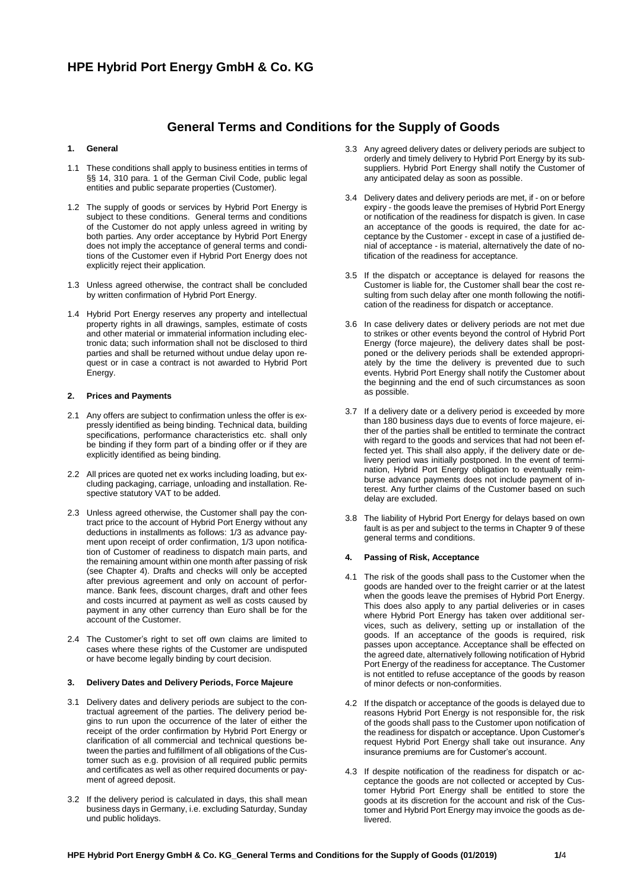# **General Terms and Conditions for the Supply of Goods**

### **1. General**

- 1.1 These conditions shall apply to business entities in terms of §§ 14, 310 para. 1 of the German Civil Code, public legal entities and public separate properties (Customer).
- 1.2 The supply of goods or services by Hybrid Port Energy is subject to these conditions. General terms and conditions of the Customer do not apply unless agreed in writing by both parties. Any order acceptance by Hybrid Port Energy does not imply the acceptance of general terms and conditions of the Customer even if Hybrid Port Energy does not explicitly reject their application.
- 1.3 Unless agreed otherwise, the contract shall be concluded by written confirmation of Hybrid Port Energy.
- 1.4 Hybrid Port Energy reserves any property and intellectual property rights in all drawings, samples, estimate of costs and other material or immaterial information including electronic data; such information shall not be disclosed to third parties and shall be returned without undue delay upon request or in case a contract is not awarded to Hybrid Port Energy.

#### **2. Prices and Payments**

- 2.1 Any offers are subject to confirmation unless the offer is expressly identified as being binding. Technical data, building specifications, performance characteristics etc. shall only be binding if they form part of a binding offer or if they are explicitly identified as being binding.
- 2.2 All prices are quoted net ex works including loading, but excluding packaging, carriage, unloading and installation. Respective statutory VAT to be added.
- 2.3 Unless agreed otherwise, the Customer shall pay the contract price to the account of Hybrid Port Energy without any deductions in installments as follows: 1/3 as advance payment upon receipt of order confirmation, 1/3 upon notification of Customer of readiness to dispatch main parts, and the remaining amount within one month after passing of risk (see Chapter 4). Drafts and checks will only be accepted after previous agreement and only on account of performance. Bank fees, discount charges, draft and other fees and costs incurred at payment as well as costs caused by payment in any other currency than Euro shall be for the account of the Customer.
- 2.4 The Customer's right to set off own claims are limited to cases where these rights of the Customer are undisputed or have become legally binding by court decision.

#### **3. Delivery Dates and Delivery Periods, Force Majeure**

- 3.1 Delivery dates and delivery periods are subject to the contractual agreement of the parties. The delivery period begins to run upon the occurrence of the later of either the receipt of the order confirmation by Hybrid Port Energy or clarification of all commercial and technical questions between the parties and fulfillment of all obligations of the Customer such as e.g. provision of all required public permits and certificates as well as other required documents or payment of agreed deposit.
- 3.2 If the delivery period is calculated in days, this shall mean business days in Germany, i.e. excluding Saturday, Sunday und public holidays.
- 3.3 Any agreed delivery dates or delivery periods are subject to orderly and timely delivery to Hybrid Port Energy by its subsuppliers. Hybrid Port Energy shall notify the Customer of any anticipated delay as soon as possible.
- 3.4 Delivery dates and delivery periods are met, if on or before expiry - the goods leave the premises of Hybrid Port Energy or notification of the readiness for dispatch is given. In case an acceptance of the goods is required, the date for acceptance by the Customer - except in case of a justified denial of acceptance - is material, alternatively the date of notification of the readiness for acceptance.
- 3.5 If the dispatch or acceptance is delayed for reasons the Customer is liable for, the Customer shall bear the cost resulting from such delay after one month following the notification of the readiness for dispatch or acceptance.
- 3.6 In case delivery dates or delivery periods are not met due to strikes or other events beyond the control of Hybrid Port Energy (force majeure), the delivery dates shall be postponed or the delivery periods shall be extended appropriately by the time the delivery is prevented due to such events. Hybrid Port Energy shall notify the Customer about the beginning and the end of such circumstances as soon as possible.
- 3.7 If a delivery date or a delivery period is exceeded by more than 180 business days due to events of force majeure, either of the parties shall be entitled to terminate the contract with regard to the goods and services that had not been effected yet. This shall also apply, if the delivery date or delivery period was initially postponed. In the event of termination, Hybrid Port Energy obligation to eventually reimburse advance payments does not include payment of interest. Any further claims of the Customer based on such delay are excluded.
- 3.8 The liability of Hybrid Port Energy for delays based on own fault is as per and subject to the terms in Chapter 9 of these general terms and conditions.

#### **4. Passing of Risk, Acceptance**

- 4.1 The risk of the goods shall pass to the Customer when the goods are handed over to the freight carrier or at the latest when the goods leave the premises of Hybrid Port Energy. This does also apply to any partial deliveries or in cases where Hybrid Port Energy has taken over additional services, such as delivery, setting up or installation of the goods. If an acceptance of the goods is required, risk passes upon acceptance. Acceptance shall be effected on the agreed date, alternatively following notification of Hybrid Port Energy of the readiness for acceptance. The Customer is not entitled to refuse acceptance of the goods by reason of minor defects or non-conformities.
- 4.2 If the dispatch or acceptance of the goods is delayed due to reasons Hybrid Port Energy is not responsible for, the risk of the goods shall pass to the Customer upon notification of the readiness for dispatch or acceptance. Upon Customer's request Hybrid Port Energy shall take out insurance. Any insurance premiums are for Customer's account.
- 4.3 If despite notification of the readiness for dispatch or acceptance the goods are not collected or accepted by Customer Hybrid Port Energy shall be entitled to store the goods at its discretion for the account and risk of the Customer and Hybrid Port Energy may invoice the goods as delivered.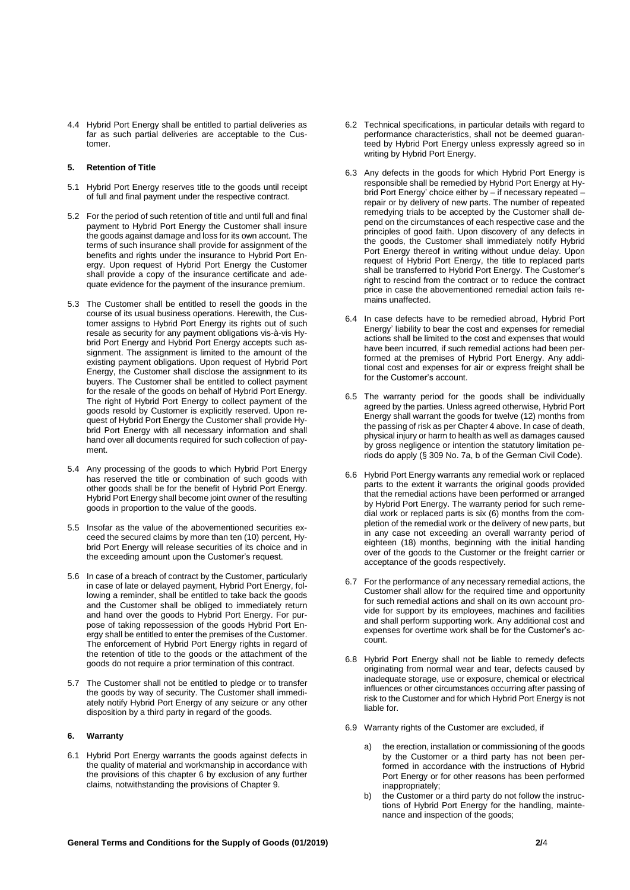4.4 Hybrid Port Energy shall be entitled to partial deliveries as far as such partial deliveries are acceptable to the Customer.

#### **5. Retention of Title**

- 5.1 Hybrid Port Energy reserves title to the goods until receipt of full and final payment under the respective contract.
- 5.2 For the period of such retention of title and until full and final payment to Hybrid Port Energy the Customer shall insure the goods against damage and loss for its own account. The terms of such insurance shall provide for assignment of the benefits and rights under the insurance to Hybrid Port Energy. Upon request of Hybrid Port Energy the Customer shall provide a copy of the insurance certificate and adequate evidence for the payment of the insurance premium.
- 5.3 The Customer shall be entitled to resell the goods in the course of its usual business operations. Herewith, the Customer assigns to Hybrid Port Energy its rights out of such resale as security for any payment obligations vis-à-vis Hybrid Port Energy and Hybrid Port Energy accepts such assignment. The assignment is limited to the amount of the existing payment obligations. Upon request of Hybrid Port Energy, the Customer shall disclose the assignment to its buyers. The Customer shall be entitled to collect payment for the resale of the goods on behalf of Hybrid Port Energy. The right of Hybrid Port Energy to collect payment of the goods resold by Customer is explicitly reserved. Upon request of Hybrid Port Energy the Customer shall provide Hybrid Port Energy with all necessary information and shall hand over all documents required for such collection of payment.
- 5.4 Any processing of the goods to which Hybrid Port Energy has reserved the title or combination of such goods with other goods shall be for the benefit of Hybrid Port Energy. Hybrid Port Energy shall become joint owner of the resulting goods in proportion to the value of the goods.
- 5.5 Insofar as the value of the abovementioned securities exceed the secured claims by more than ten (10) percent, Hybrid Port Energy will release securities of its choice and in the exceeding amount upon the Customer's request.
- 5.6 In case of a breach of contract by the Customer, particularly in case of late or delayed payment, Hybrid Port Energy, following a reminder, shall be entitled to take back the goods and the Customer shall be obliged to immediately return and hand over the goods to Hybrid Port Energy. For purpose of taking repossession of the goods Hybrid Port Energy shall be entitled to enter the premises of the Customer. The enforcement of Hybrid Port Energy rights in regard of the retention of title to the goods or the attachment of the goods do not require a prior termination of this contract.
- 5.7 The Customer shall not be entitled to pledge or to transfer the goods by way of security. The Customer shall immediately notify Hybrid Port Energy of any seizure or any other disposition by a third party in regard of the goods.

### **6. Warranty**

6.1 Hybrid Port Energy warrants the goods against defects in the quality of material and workmanship in accordance with the provisions of this chapter 6 by exclusion of any further claims, notwithstanding the provisions of Chapter 9.

- 6.2 Technical specifications, in particular details with regard to performance characteristics, shall not be deemed guaranteed by Hybrid Port Energy unless expressly agreed so in writing by Hybrid Port Energy.
- 6.3 Any defects in the goods for which Hybrid Port Energy is responsible shall be remedied by Hybrid Port Energy at Hybrid Port Energy' choice either by – if necessary repeated – repair or by delivery of new parts. The number of repeated remedying trials to be accepted by the Customer shall depend on the circumstances of each respective case and the principles of good faith. Upon discovery of any defects in the goods, the Customer shall immediately notify Hybrid Port Energy thereof in writing without undue delay. Upon request of Hybrid Port Energy, the title to replaced parts shall be transferred to Hybrid Port Energy. The Customer's right to rescind from the contract or to reduce the contract price in case the abovementioned remedial action fails remains unaffected.
- 6.4 In case defects have to be remedied abroad, Hybrid Port Energy' liability to bear the cost and expenses for remedial actions shall be limited to the cost and expenses that would have been incurred, if such remedial actions had been performed at the premises of Hybrid Port Energy. Any additional cost and expenses for air or express freight shall be for the Customer's account.
- 6.5 The warranty period for the goods shall be individually agreed by the parties. Unless agreed otherwise, Hybrid Port Energy shall warrant the goods for twelve (12) months from the passing of risk as per Chapter 4 above. In case of death, physical injury or harm to health as well as damages caused by gross negligence or intention the statutory limitation periods do apply (§ 309 No. 7a, b of the German Civil Code).
- 6.6 Hybrid Port Energy warrants any remedial work or replaced parts to the extent it warrants the original goods provided that the remedial actions have been performed or arranged by Hybrid Port Energy. The warranty period for such remedial work or replaced parts is six (6) months from the completion of the remedial work or the delivery of new parts, but in any case not exceeding an overall warranty period of eighteen (18) months, beginning with the initial handing over of the goods to the Customer or the freight carrier or acceptance of the goods respectively.
- 6.7 For the performance of any necessary remedial actions, the Customer shall allow for the required time and opportunity for such remedial actions and shall on its own account provide for support by its employees, machines and facilities and shall perform supporting work. Any additional cost and expenses for overtime work shall be for the Customer's account.
- 6.8 Hybrid Port Energy shall not be liable to remedy defects originating from normal wear and tear, defects caused by inadequate storage, use or exposure, chemical or electrical influences or other circumstances occurring after passing of risk to the Customer and for which Hybrid Port Energy is not liable for.
- 6.9 Warranty rights of the Customer are excluded, if
	- the erection, installation or commissioning of the goods by the Customer or a third party has not been performed in accordance with the instructions of Hybrid Port Energy or for other reasons has been performed inappropriately;
	- b) the Customer or a third party do not follow the instructions of Hybrid Port Energy for the handling, maintenance and inspection of the goods;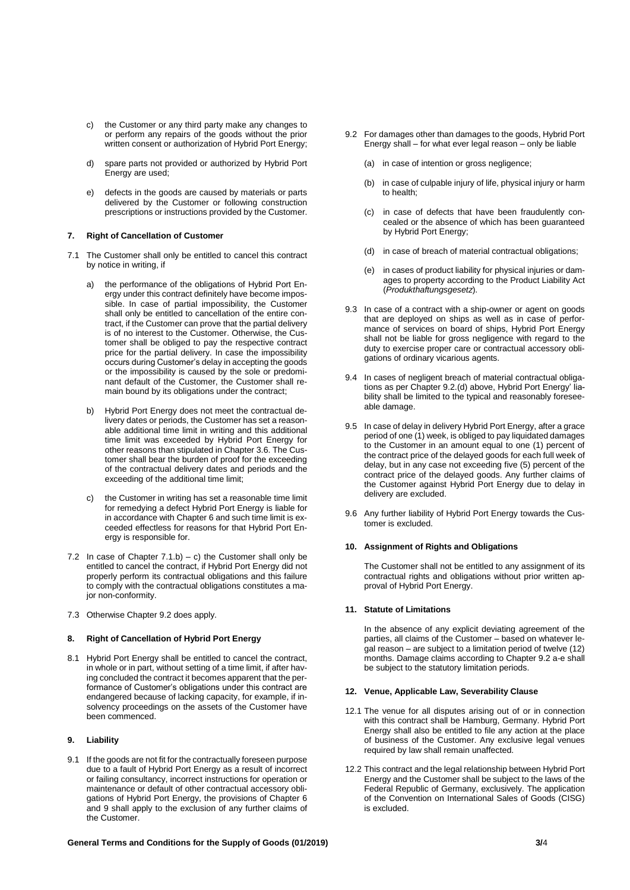- c) the Customer or any third party make any changes to or perform any repairs of the goods without the prior written consent or authorization of Hybrid Port Energy;
- d) spare parts not provided or authorized by Hybrid Port Energy are used;
- e) defects in the goods are caused by materials or parts delivered by the Customer or following construction prescriptions or instructions provided by the Customer.

### **7. Right of Cancellation of Customer**

- 7.1 The Customer shall only be entitled to cancel this contract by notice in writing, if
	- a) the performance of the obligations of Hybrid Port Energy under this contract definitely have become impossible. In case of partial impossibility, the Customer shall only be entitled to cancellation of the entire contract, if the Customer can prove that the partial delivery is of no interest to the Customer. Otherwise, the Customer shall be obliged to pay the respective contract price for the partial delivery. In case the impossibility occurs during Customer's delay in accepting the goods or the impossibility is caused by the sole or predominant default of the Customer, the Customer shall remain bound by its obligations under the contract;
	- b) Hybrid Port Energy does not meet the contractual delivery dates or periods, the Customer has set a reasonable additional time limit in writing and this additional time limit was exceeded by Hybrid Port Energy for other reasons than stipulated in Chapter 3.6. The Customer shall bear the burden of proof for the exceeding of the contractual delivery dates and periods and the exceeding of the additional time limit;
	- c) the Customer in writing has set a reasonable time limit for remedying a defect Hybrid Port Energy is liable for in accordance with Chapter 6 and such time limit is exceeded effectless for reasons for that Hybrid Port Energy is responsible for.
- 7.2 In case of Chapter  $7.1.b$  c) the Customer shall only be entitled to cancel the contract, if Hybrid Port Energy did not properly perform its contractual obligations and this failure to comply with the contractual obligations constitutes a major non-conformity.
- 7.3 Otherwise Chapter 9.2 does apply.

#### **8. Right of Cancellation of Hybrid Port Energy**

8.1 Hybrid Port Energy shall be entitled to cancel the contract, in whole or in part, without setting of a time limit, if after having concluded the contract it becomes apparent that the performance of Customer's obligations under this contract are endangered because of lacking capacity, for example, if insolvency proceedings on the assets of the Customer have been commenced.

## **9. Liability**

9.1 If the goods are not fit for the contractually foreseen purpose due to a fault of Hybrid Port Energy as a result of incorrect or failing consultancy, incorrect instructions for operation or maintenance or default of other contractual accessory obligations of Hybrid Port Energy, the provisions of Chapter 6 and 9 shall apply to the exclusion of any further claims of the Customer.

- 9.2 For damages other than damages to the goods, Hybrid Port Energy shall – for what ever legal reason – only be liable
	- (a) in case of intention or gross negligence;
	- (b) in case of culpable injury of life, physical injury or harm to health;
	- (c) in case of defects that have been fraudulently concealed or the absence of which has been guaranteed by Hybrid Port Energy;
	- (d) in case of breach of material contractual obligations;
	- (e) in cases of product liability for physical injuries or damages to property according to the Product Liability Act (*Produkthaftungsgesetz*).
- 9.3 In case of a contract with a ship-owner or agent on goods that are deployed on ships as well as in case of performance of services on board of ships, Hybrid Port Energy shall not be liable for gross negligence with regard to the duty to exercise proper care or contractual accessory obligations of ordinary vicarious agents.
- 9.4 In cases of negligent breach of material contractual obligations as per Chapter 9.2.(d) above, Hybrid Port Energy' liability shall be limited to the typical and reasonably foreseeable damage.
- 9.5 In case of delay in delivery Hybrid Port Energy, after a grace period of one (1) week, is obliged to pay liquidated damages to the Customer in an amount equal to one (1) percent of the contract price of the delayed goods for each full week of delay, but in any case not exceeding five (5) percent of the contract price of the delayed goods. Any further claims of the Customer against Hybrid Port Energy due to delay in delivery are excluded.
- 9.6 Any further liability of Hybrid Port Energy towards the Customer is excluded.

#### **10. Assignment of Rights and Obligations**

The Customer shall not be entitled to any assignment of its contractual rights and obligations without prior written approval of Hybrid Port Energy.

#### **11. Statute of Limitations**

In the absence of any explicit deviating agreement of the parties, all claims of the Customer – based on whatever legal reason – are subject to a limitation period of twelve (12) months. Damage claims according to Chapter 9.2 a-e shall be subject to the statutory limitation periods.

#### **12. Venue, Applicable Law, Severability Clause**

- 12.1 The venue for all disputes arising out of or in connection with this contract shall be Hamburg, Germany. Hybrid Port Energy shall also be entitled to file any action at the place of business of the Customer. Any exclusive legal venues required by law shall remain unaffected.
- 12.2 This contract and the legal relationship between Hybrid Port Energy and the Customer shall be subject to the laws of the Federal Republic of Germany, exclusively. The application of the Convention on International Sales of Goods (CISG) is excluded.